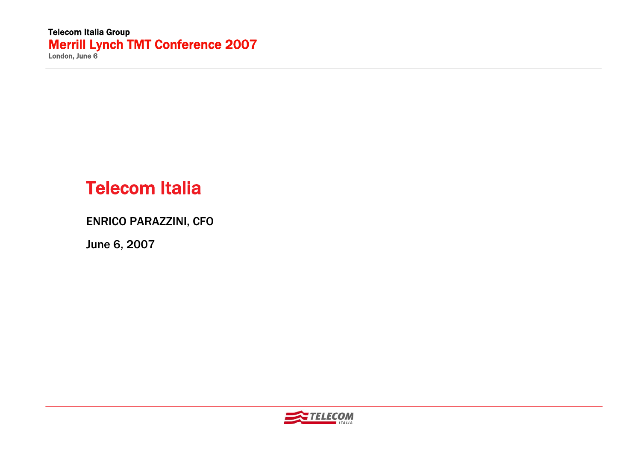# Telecom Italia

ENRICO PARAZZINI, CFO

June 6, 2007

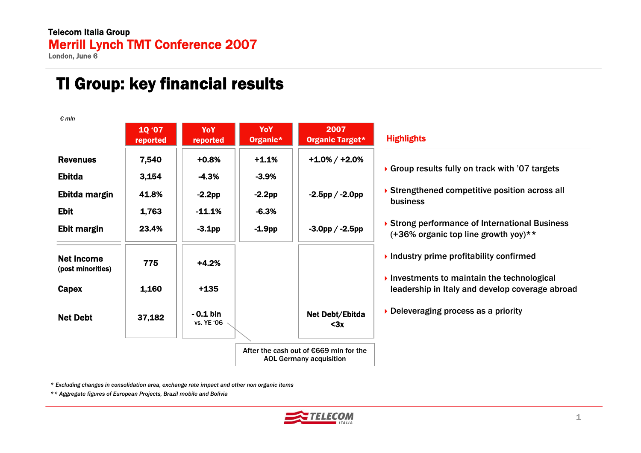# TI Group: key financial results

| $\epsilon$ mln                                                   | 10 '07<br>reported               | <b>YoY</b><br>reported                     | YoY<br>Organic*                           | 2007<br>Organic Target*                                                  | <b>Highlights</b>                                                                                          |
|------------------------------------------------------------------|----------------------------------|--------------------------------------------|-------------------------------------------|--------------------------------------------------------------------------|------------------------------------------------------------------------------------------------------------|
| <b>Revenues</b><br><b>Ebitda</b><br>Ebitda margin<br><b>Ebit</b> | 7,540<br>3,154<br>41.8%<br>1,763 | $+0.8%$<br>$-4.3%$<br>$-2.2pp$<br>$-11.1%$ | $+1.1%$<br>$-3.9%$<br>$-2.2pp$<br>$-6.3%$ | $+1.0\% / +2.0\%$<br>$-2.5$ pp / $-2.0$ pp                               | Group results fully on track with '07 targets'<br>Strengthened competitive position across all<br>business |
| Ebit margin                                                      | 23.4%                            | $-3.1$ pp                                  | $-1.9$ pp                                 | $-3.0$ pp / $-2.5$ pp                                                    | ▶ Strong performance of International Business<br>(+36% organic top line growth yoy)**                     |
| <b>Net Income</b><br>(post minorities)                           | 775                              | $+4.2%$                                    |                                           |                                                                          | $\blacktriangleright$ Industry prime profitability confirmed                                               |
| Capex                                                            | 1,160                            | $+135$                                     |                                           |                                                                          | Investments to maintain the technological<br>leadership in Italy and develop coverage abroad               |
| <b>Net Debt</b>                                                  | 37,182                           | $-0.1$ bln<br>vs. YE '06                   |                                           | Net Debt/Ebitda<br>$3x$                                                  | Deleveraging process as a priority                                                                         |
|                                                                  |                                  |                                            |                                           | After the cash out of €669 mln for the<br><b>AOL Germany acquisition</b> |                                                                                                            |

*\* Excluding changes in consolidation area, exchange rate impact and other non organic items*

*\*\* Aggregate figures of European Projects, Brazil mobile and Bolivia*

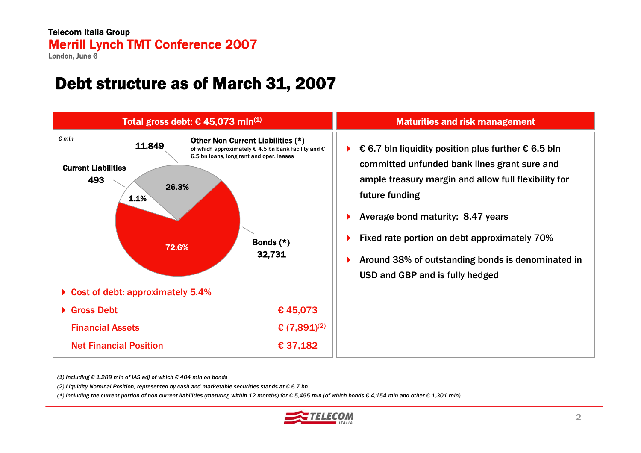#### Telecom Italia Group Merrill Lynch TMT Conference 2007

London, June 6

### Debt structure as of March 31, 2007



#### Maturities and risk management

- $\blacktriangleright$ € 6.7 bln liquidity position plus further € 6.5 bln committed unfunded bank lines grant sure and ample treasury margin and allow full flexibility for future funding
- ٠ Average bond maturity: 8.47 years
- $\blacktriangleright$ Fixed rate portion on debt approximately 70%
- ٠ Around 38% of outstanding bonds is denominated in USD and GBP and is fully hedged

*(1) Including € 1,289 mln of IAS adj of which € 404 mln on bonds*

*(2) Liquidity Nominal Position, represented by cash and marketable securities stands at € 6.7 bn*

(\*) including the current portion of non current liabilities (maturing within 12 months) for  $\epsilon$  5,455 mln (of which bonds  $\epsilon$  4,154 mln and other  $\epsilon$  1,301 mln)

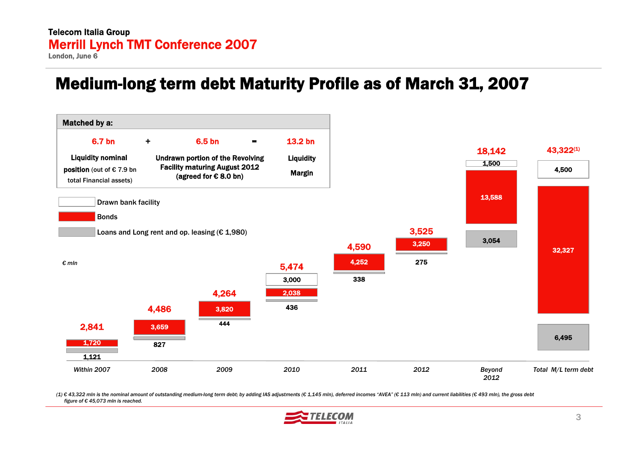### Medium-long term debt Maturity Profile as of March 31, 2007



(1) € 43,322 mln is the nominal amount of outstanding medium-long term debt; by adding IAS adjustments (€ 1,145 mln), deferred incomes "AVEA" (€ 113 mln) and current liabilities (€ 493 mln), the gross debt *figure of € 45,073 mln is reached.*

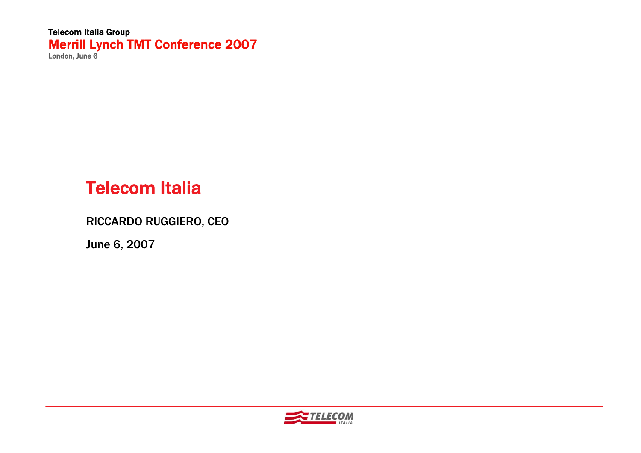# Telecom Italia

RICCARDO RUGGIERO, CEO

June 6, 2007

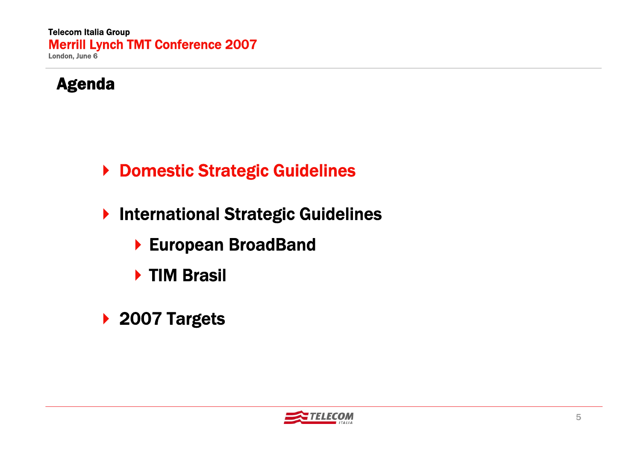

- ▶ Domestic Strategic Guidelines
- ▶ International Strategic Guidelines
	- European BroadBand
	- ▶ TIM Brasil
- ▶ 2007 Targets

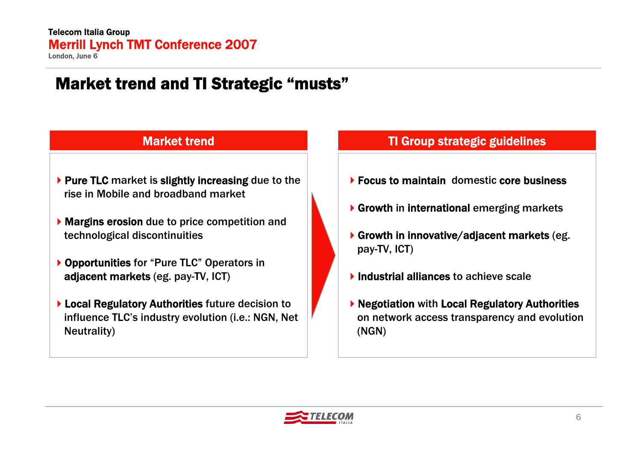# Market trend and TI Strategic "musts"

- $\blacktriangleright$  Pure TLC market is slightly increasing due to the rise in Mobile and broadband market
- **Margins erosion** due to price competition and technological discontinuities
- ▶ Opportunities for "Pure TLC" Operators in adjacent markets (eg. pay-TV, ICT)
- Local Regulatory Authorities future decision to influence TLC's industry evolution (i.e.: NGN, Net Neutrality)

#### Market trend **TI Group strategic guidelines**

- ▶ Focus to maintain domestic core business
- Growth in international emerging markets
- Growth in innovative/adjacent markets (eg. pay-TV, ICT)
- $\blacktriangleright$  Industrial alliances to achieve scale
- ▶ Negotiation with Local Regulatory Authorities on network access transparency and evolution (NGN)

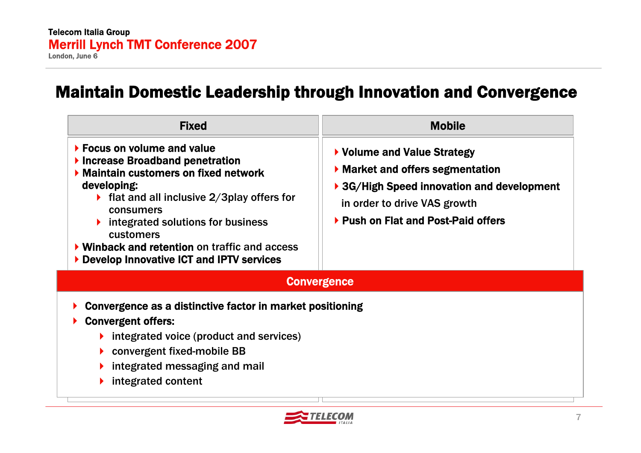#### Maintain Domestic Leadership through Innovation and Convergence

| <b>Fixed</b><br>▶ Focus on volume and value<br>$\blacktriangleright$ Increase Broadband penetration<br>Maintain customers on fixed network<br>developing:<br>If flat and all inclusive $2/3$ play offers for<br>consumers<br>integrated solutions for business<br>customers<br>$\triangleright$ Winback and retention on traffic and access<br>Develop Innovative ICT and IPTV services | <b>Mobile</b><br>▶ Volume and Value Strategy<br>$\blacktriangleright$ Market and offers segmentation<br>▶ 3G/High Speed innovation and development<br>in order to drive VAS growth<br>▶ Push on Flat and Post-Paid offers |
|-----------------------------------------------------------------------------------------------------------------------------------------------------------------------------------------------------------------------------------------------------------------------------------------------------------------------------------------------------------------------------------------|---------------------------------------------------------------------------------------------------------------------------------------------------------------------------------------------------------------------------|
|                                                                                                                                                                                                                                                                                                                                                                                         | <b>Convergence</b>                                                                                                                                                                                                        |
| Convergence as a distinctive factor in market positioning<br><b>Convergent offers:</b><br>$\triangleright$ integrated voice (product and services)<br>$\triangleright$ convergent fixed-mobile BB<br>integrated messaging and mail<br>integrated content                                                                                                                                |                                                                                                                                                                                                                           |

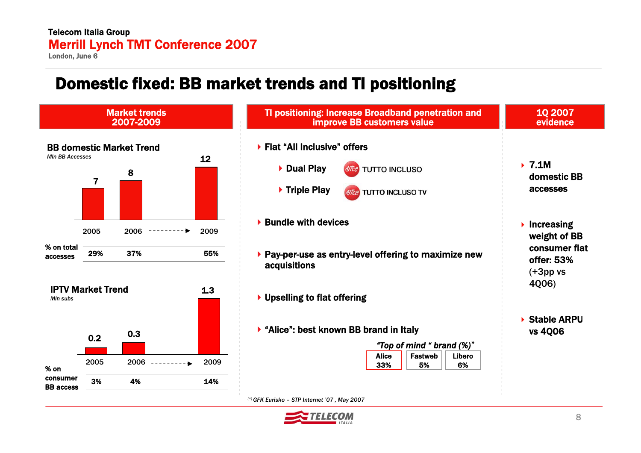#### Telecom Italia Group Merrill Lynch TMT Conference 2007

London, June 6

### Domestic fixed: BB market trends and TI positioning



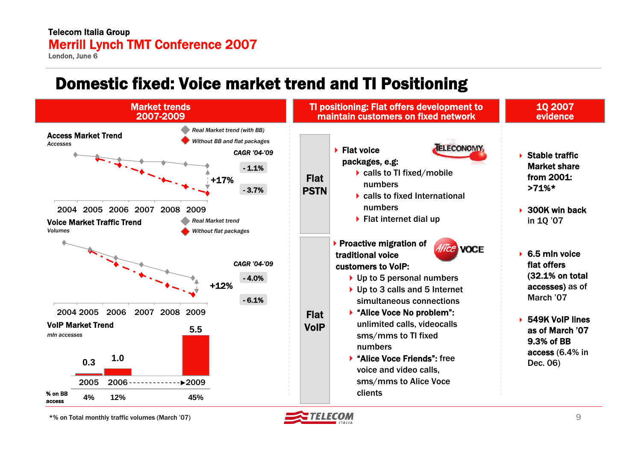#### Telecom Italia Group Merrill Lynch TMT Conference 2007

London, June 6

# Domestic fixed: Voice market trend and TI Positioning



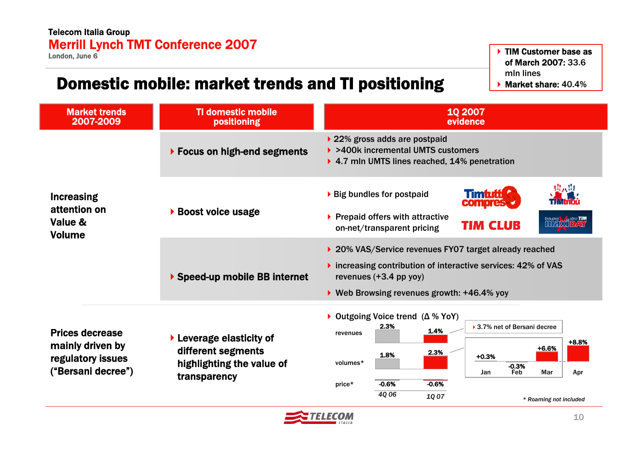# Domestic mobile: market trends and TI positioning

TIM Customer base as of March 2007: 33.6 mln lines $\blacktriangleright$  Market share: 40.4%

| <b>Market trends</b><br>2007-2009                                                     | <b>TI domestic mobile</b><br>positioning                                                                        | <b>10 2007</b><br>evidence                                                                                                                                                                                                                                                  |  |  |  |
|---------------------------------------------------------------------------------------|-----------------------------------------------------------------------------------------------------------------|-----------------------------------------------------------------------------------------------------------------------------------------------------------------------------------------------------------------------------------------------------------------------------|--|--|--|
|                                                                                       | ▶ Focus on high-end segments                                                                                    | ▶ 22% gross adds are postpaid<br>▶ >400k incremental UMTS customers<br>▶ 4.7 mln UMTS lines reached, 14% penetration                                                                                                                                                        |  |  |  |
| <b>Increasing</b><br>attention on<br>Value &<br><b>Volume</b>                         | <b>Boost voice usage</b>                                                                                        | 错误阻<br>Timtutti<br>▶ Big bundles for postpaid<br><b>compress</b><br>$\blacktriangleright$ Prepaid offers with attractive<br><b>Enuova D. dea TIM</b><br><b>TIM CLUB</b><br>on-net/transparent pricing                                                                       |  |  |  |
|                                                                                       | ▶ Speed-up mobile BB internet                                                                                   | ▶ 20% VAS/Service revenues FY07 target already reached<br>$\triangleright$ increasing contribution of interactive services: 42% of VAS<br>revenues (+3.4 pp yoy)<br>▶ Web Browsing revenues growth: +46.4% yoy                                                              |  |  |  |
| <b>Prices decrease</b><br>mainly driven by<br>regulatory issues<br>("Bersani decree") | $\blacktriangleright$ Leverage elasticity of<br>different segments<br>highlighting the value of<br>transparency | ▶ Outgoing Voice trend $(∆ % You')$<br>2.3%<br>▶ 3.7% net of Bersani decree<br>1.4%<br>revenues<br>+8.8%<br>+6.6%<br>2.3%<br>1.8%<br>$+0.3%$<br>volumes*<br>$-0.3%$<br>Jan<br>Mar<br>Feb<br>Apr<br>$-0.6%$<br>$-0.6%$<br>price*<br>40 06<br>1Q 07<br>* Roaming not included |  |  |  |

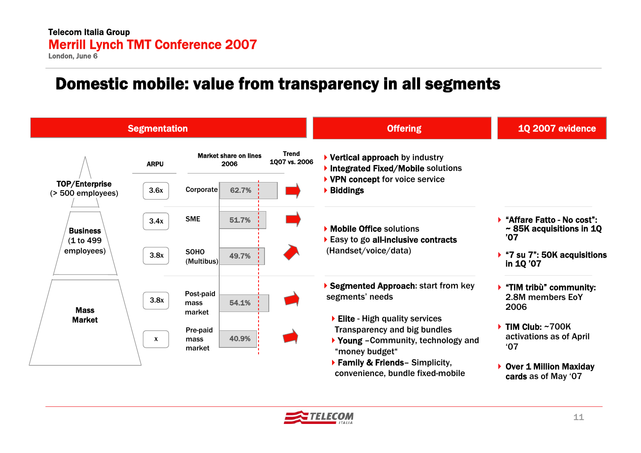#### Domestic mobile: value from transparency in all segments



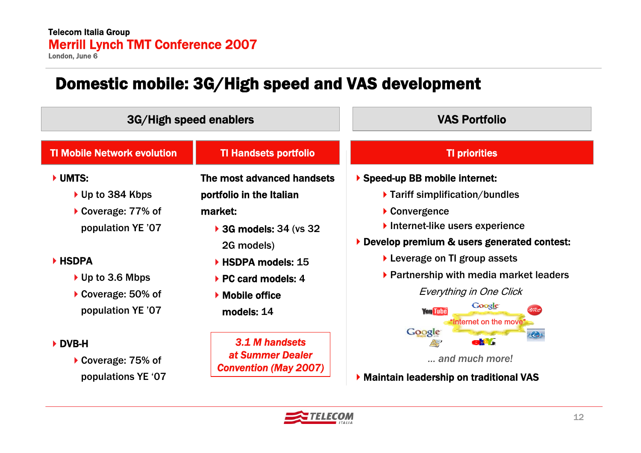# Domestic mobile: 3G/High speed and VAS development

|                                                                                                                                                             | 3G/High speed enablers                                                                                                                                                                                  | <b>VAS Portfolio</b>                                                                                                                                                                                                                                                                                                                         |  |  |
|-------------------------------------------------------------------------------------------------------------------------------------------------------------|---------------------------------------------------------------------------------------------------------------------------------------------------------------------------------------------------------|----------------------------------------------------------------------------------------------------------------------------------------------------------------------------------------------------------------------------------------------------------------------------------------------------------------------------------------------|--|--|
| <b>TI Mobile Network evolution</b>                                                                                                                          | <b>TI Handsets portfolio</b>                                                                                                                                                                            | <b>TI priorities</b>                                                                                                                                                                                                                                                                                                                         |  |  |
| UMTS:<br>$\triangleright$ Up to 384 Kbps<br>▶ Coverage: 77% of<br>population YE '07<br>HSDPA<br>▶ Up to 3.6 Mbps<br>▶ Coverage: 50% of<br>population YE '07 | The most advanced handsets<br>portfolio in the Italian<br>market:<br>▶ 3G models: 34 (vs 32)<br>2G models)<br>▶ HSDPA models: 15<br>▶ PC card models: 4<br>$\triangleright$ Mobile office<br>models: 14 | Speed-up BB mobile internet:<br>▶ Tariff simplification/bundles<br>$\blacktriangleright$ Convergence<br>Internet-like users experience<br>Develop premium & users generated contest:<br>$\blacktriangleright$ Leverage on TI group assets<br>▶ Partnership with media market leaders<br>Everything in One Click<br>Google<br><b>You Tube</b> |  |  |
| DVB-H<br>▶ Coverage: 75% of<br>populations YE '07                                                                                                           | 3.1 M handsets<br>at Summer Dealer<br><b>Convention (May 2007)</b>                                                                                                                                      | "Internet on the move"<br>Google<br>æ,<br>a.Y<br>and much more!<br>Maintain leadership on traditional VAS                                                                                                                                                                                                                                    |  |  |

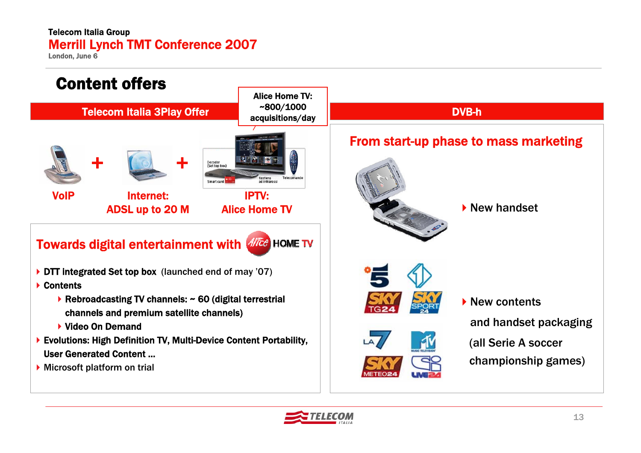#### Telecom Italia Group Merrill Lynch TMT Conference 2007

London, June 6



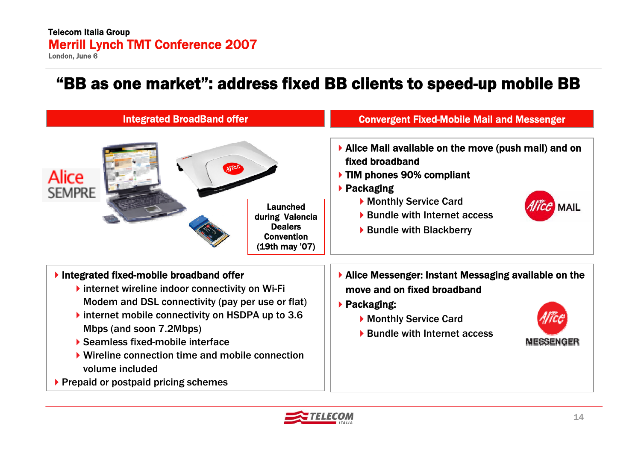### "BB as one market": address fixed BB clients to speed-up mobile BB



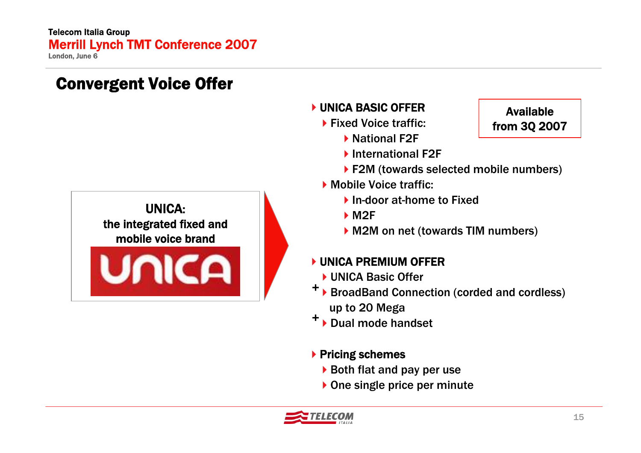Convergent Voice Offer



#### **NUNICA BASIC OFFER**

- ▶ Fixed Voice traffic:
	- ▶ National F2F
	- ▶ International F2F
	- ▶ F2M (towards selected mobile numbers)
- Mobile Voice traffic:
	- ▶ In-door at-home to Fixed
	- **▶ M2F**
	- ▶ M2M on net (towards TIM numbers)

#### UNICA PREMIUM OFFER

- ▶ UNICA Basic Offer
- <sup>→</sup> BroadBand Connection (corded and cordless) up to 20 Mega
- ▶ Dual mode handset *+*

#### $\blacktriangleright$  Pricing schemes

- $\triangleright$  Both flat and pay per use
- ▶ One single price per minute



#### Available from 3Q 2007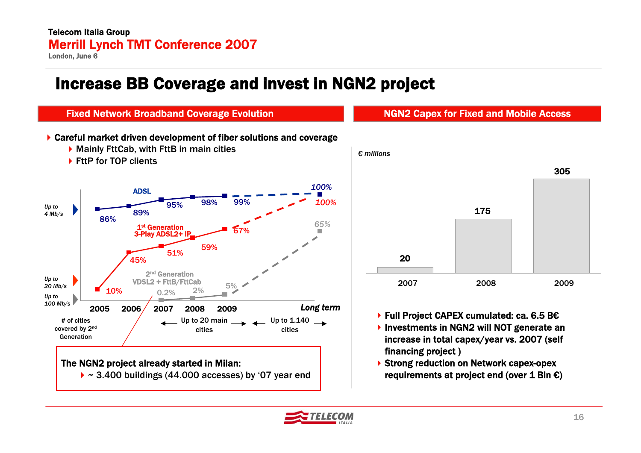### Increase BB Coverage and invest in NGN2 project



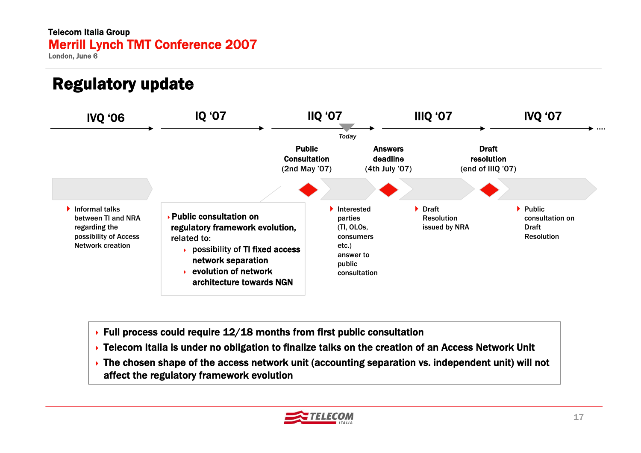# Regulatory update



- $\triangleright$  Full process could require 12/18 months from first public consultation
- **EXTE:** Telecom Italia is under no obligation to finalize talks on the creation of an Access Network Unit
- The chosen shape of the access network unit (accounting separation vs. independent unit) will not affect the regulatory framework evolution

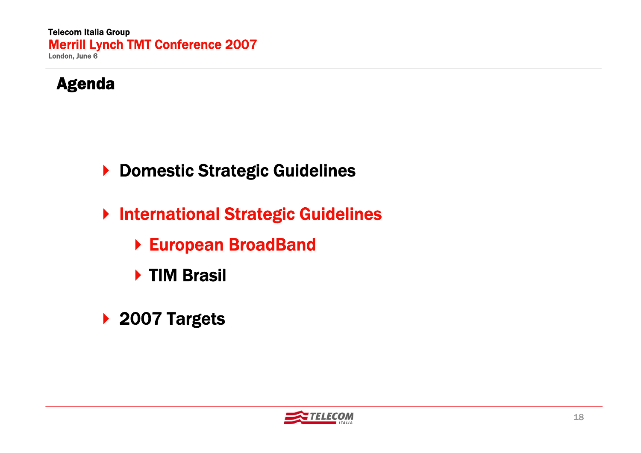

- ▶ Domestic Strategic Guidelines
- ▶ International Strategic Guidelines
	- European BroadBand
	- ▶ TIM Brasil
- ▶ 2007 Targets

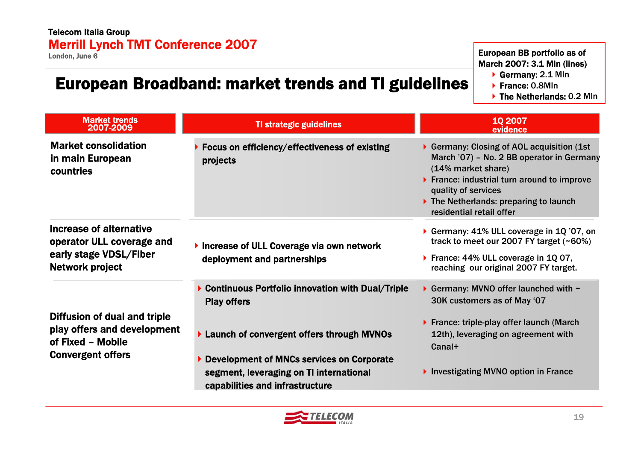### European Broadband: market trends and TI guidelines

European BB portfolio as of March 2007: 3.1 Mln (lines)

- Germany: 2.1 Mln
- ▶ France: 0.8Mln
- ▶ The Netherlands: 0.2 Min

| <b>Market trends</b><br>2007-2009                                                                            | <b>TI strategic guidelines</b>                                                                                                                                     | 10 2007<br>evidence                                                                                                                                                                                                                                                          |
|--------------------------------------------------------------------------------------------------------------|--------------------------------------------------------------------------------------------------------------------------------------------------------------------|------------------------------------------------------------------------------------------------------------------------------------------------------------------------------------------------------------------------------------------------------------------------------|
| <b>Market consolidation</b><br>in main European<br>countries                                                 | Focus on efficiency/effectiveness of existing<br>projects                                                                                                          | Germany: Closing of AOL acquisition (1st)<br>March '07) - No. 2 BB operator in Germany<br>(14% market share)<br>▶ France: industrial turn around to improve<br>quality of services<br>$\blacktriangleright$ The Netherlands: preparing to launch<br>residential retail offer |
| Increase of alternative<br>operator ULL coverage and<br>early stage VDSL/Fiber<br>Network project            | Increase of ULL Coverage via own network<br>deployment and partnerships                                                                                            | Germany: 41% ULL coverage in 1Q '07, on<br>track to meet our 2007 FY target (~60%)<br>▶ France: 44% ULL coverage in 1Q 07,<br>reaching our original 2007 FY target.                                                                                                          |
| Diffusion of dual and triple<br>play offers and development<br>of Fixed - Mobile<br><b>Convergent offers</b> | ▶ Continuous Portfolio innovation with Dual/Triple<br><b>Play offers</b><br>Launch of convergent offers through MVNOs<br>Development of MNCs services on Corporate | Germany: MVNO offer launched with $\sim$<br>30K customers as of May '07<br>$\triangleright$ France: triple-play offer launch (March<br>12th), leveraging on agreement with<br>Canal+                                                                                         |
|                                                                                                              | segment, leveraging on TI international<br>capabilities and infrastructure                                                                                         | Investigating MVNO option in France                                                                                                                                                                                                                                          |

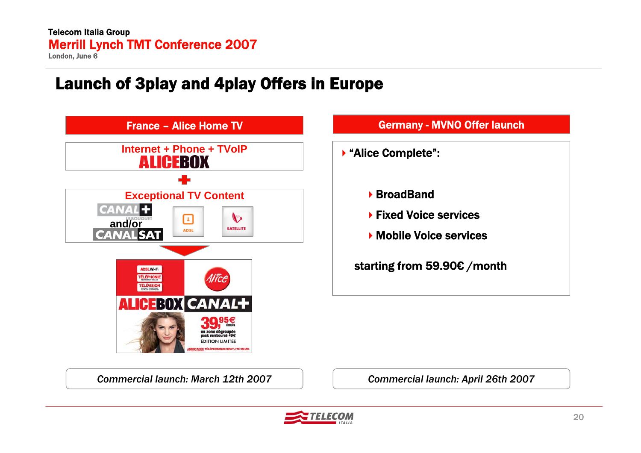# Launch of 3play and 4play Offers in Europe





*Commercial launch: March 12th 2007*

*Commercial launch: April 26th 2007*

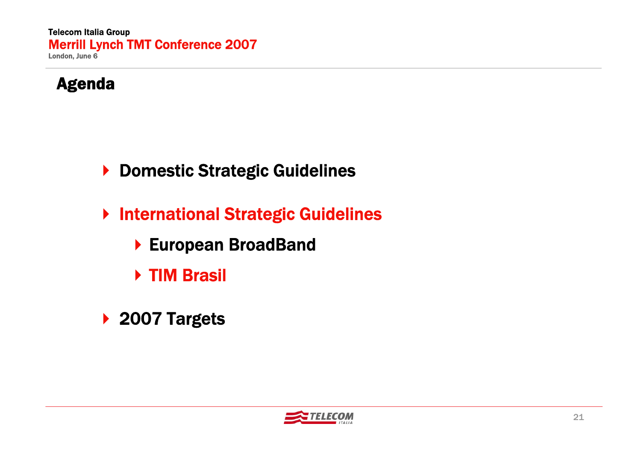

- ▶ Domestic Strategic Guidelines
- ▶ International Strategic Guidelines
	- European BroadBand
	- ▶ TIM Brasil
- ▶ 2007 Targets

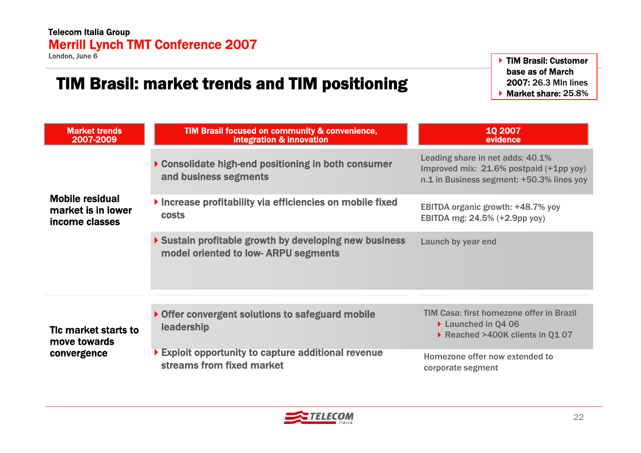# TIM Brasil: market trends and TIM positioning

▶ TIM Brasil: Customer base as of March 2007: 26.3 Mln lines $\blacktriangleright$  Market share: 25.8%

| <b>Market trends</b><br>2007-2009                              | TIM Brasil focused on community & convenience,<br>integration & innovation                           | 10 2007<br>evidence                                                                                                      |  |
|----------------------------------------------------------------|------------------------------------------------------------------------------------------------------|--------------------------------------------------------------------------------------------------------------------------|--|
|                                                                | ▶ Consolidate high-end positioning in both consumer<br>and business segments                         | Leading share in net adds: 40.1%<br>Improved mix: 21.6% postpaid (+1pp yoy)<br>n.1 in Business segment: +50.3% lines yoy |  |
| <b>Mobile residual</b><br>market is in lower<br>income classes | Increase profitability via efficiencies on mobile fixed<br><b>costs</b>                              | EBITDA organic growth: +48.7% yoy<br>EBITDA mg: 24.5% (+2.9pp yoy)                                                       |  |
|                                                                | Sustain profitable growth by developing new business<br>model oriented to low-ARPU segments          | Launch by year end                                                                                                       |  |
|                                                                |                                                                                                      |                                                                                                                          |  |
| Tic market starts to<br>move towards                           | Offer convergent solutions to safeguard mobile<br>leadership                                         | TIM Casa: first homezone offer in Brazil<br>▶ Launched in Q4 06<br>Reached >400K clients in Q1 07                        |  |
| convergence                                                    | $\blacktriangleright$ Exploit opportunity to capture additional revenue<br>streams from fixed market | Homezone offer now extended to<br>corporate segment                                                                      |  |

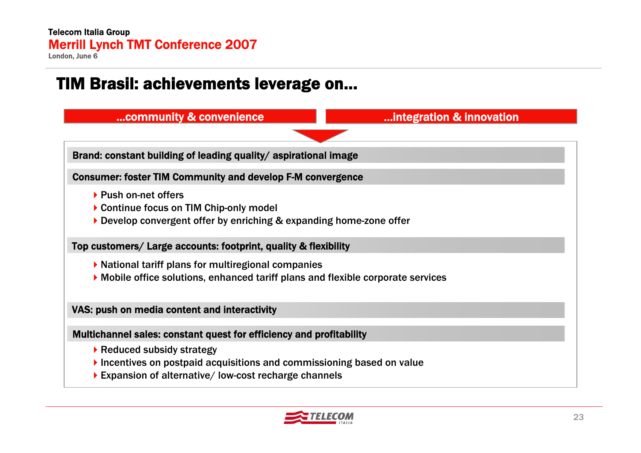### TIM Brasil: achievements leverage on…



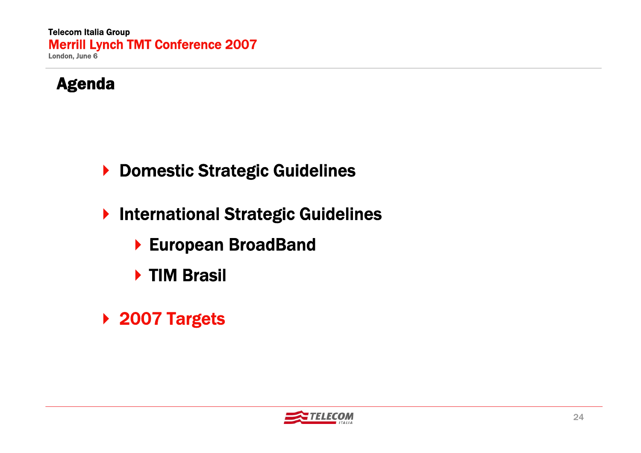

- ▶ Domestic Strategic Guidelines
- ▶ International Strategic Guidelines
	- European BroadBand
	- ▶ TIM Brasil
- ▶ 2007 Targets